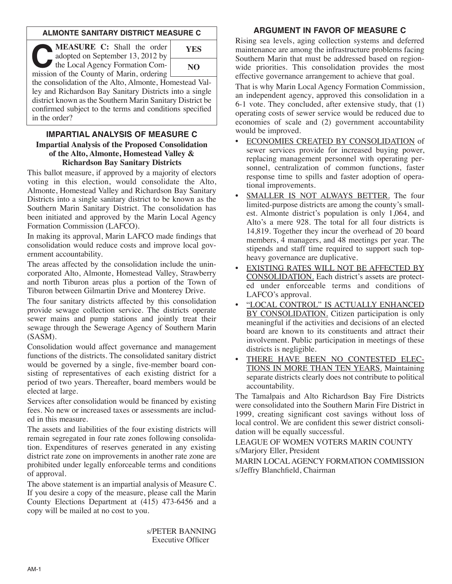## **ALMONTE SANITARY DISTRICT MEASURE C**

**CEASURE C:** Shall the order<br>
adopted on September 13, 2012 by<br>
the Local Agency Formation Com-<br>
mission of the County of Marin ordering adopted on September 13, 2012 by mission of the County of Marin, ordering **YES NO**

the consolidation of the Alto, Almonte, Homestead Valley and Richardson Bay Sanitary Districts into a single district known as the Southern Marin Sanitary District be confirmed subject to the terms and conditions specified in the order?

## **IMPARTIAL ANALYSIS OF MEASURE C Impartial Analysis of the Proposed Consolidation of the Alto, Almonte, Homestead Valley & Richardson Bay Sanitary Districts**

This ballot measure, if approved by a majority of electors voting in this election, would consolidate the Alto, Almonte, Homestead Valley and Richardson Bay Sanitary Districts into a single sanitary district to be known as the Southern Marin Sanitary District. The consolidation has been initiated and approved by the Marin Local Agency Formation Commission (LAFCO).

In making its approval, Marin LAFCO made findings that consolidation would reduce costs and improve local government accountability.

The areas affected by the consolidation include the unincorporated Alto, Almonte, Homestead Valley, Strawberry and north Tiburon areas plus a portion of the Town of Tiburon between Gilmartin Drive and Monterey Drive.

The four sanitary districts affected by this consolidation provide sewage collection service. The districts operate sewer mains and pump stations and jointly treat their sewage through the Sewerage Agency of Southern Marin (SASM).

Consolidation would affect governance and management functions of the districts. The consolidated sanitary district would be governed by a single, five-member board consisting of representatives of each existing district for a period of two years. Thereafter, board members would be elected at large.

Services after consolidation would be financed by existing fees. No new or increased taxes or assessments are included in this measure.

The assets and liabilities of the four existing districts will remain segregated in four rate zones following consolidation. Expenditures of reserves generated in any existing district rate zone on improvements in another rate zone are prohibited under legally enforceable terms and conditions of approval.

The above statement is an impartial analysis of Measure C. If you desire a copy of the measure, please call the Marin County Elections Department at (415) 473-6456 and a copy will be mailed at no cost to you.

> s/PETER BANNING Executive Officer

# **ARGUMENT IN FAVOR OF MEASURE C**

Rising sea levels, aging collection systems and deferred maintenance are among the infrastructure problems facing Southern Marin that must be addressed based on regionwide priorities. This consolidation provides the most effective governance arrangement to achieve that goal.

That is why Marin Local Agency Formation Commission, an independent agency, approved this consolidation in a 6-1 vote. They concluded, after extensive study, that (1) operating costs of sewer service would be reduced due to economies of scale and (2) government accountability would be improved.

- ECONOMIES CREATED BY CONSOLIDATION of sewer services provide for increased buying power, replacing management personnel with operating personnel, centralization of common functions, faster response time to spills and faster adoption of operational improvements.
- SMALLER IS NOT ALWAYS BETTER. The four limited-purpose districts are among the county's smallest. Almonte district's population is only 1,064, and Alto's a mere 928. The total for all four districts is 14,819. Together they incur the overhead of 20 board members, 4 managers, and 48 meetings per year. The stipends and staff time required to support such topheavy governance are duplicative.
- EXISTING RATES WILL NOT BE AFFECTED BY CONSOLIDATION. Each district's assets are protected under enforceable terms and conditions of LAFCO's approval.
- "LOCAL CONTROL" IS ACTUALLY ENHANCED BY CONSOLIDATION. Citizen participation is only meaningful if the activities and decisions of an elected board are known to its constituents and attract their involvement. Public participation in meetings of these districts is negligible.
- THERE HAVE BEEN NO CONTESTED ELEC-TIONS IN MORE THAN TEN YEARS. Maintaining separate districts clearly does not contribute to political accountability.

The Tamalpais and Alto Richardson Bay Fire Districts were consolidated into the Southern Marin Fire District in 1999, creating significant cost savings without loss of local control. We are confident this sewer district consolidation will be equally successful.

LEAGUE OF WOMEN VOTERS MARIN COUNTY s/Marjory Eller, President

MARIN LOCALAGENCY FORMATION COMMISSION s/Jeffry Blanchfield, Chairman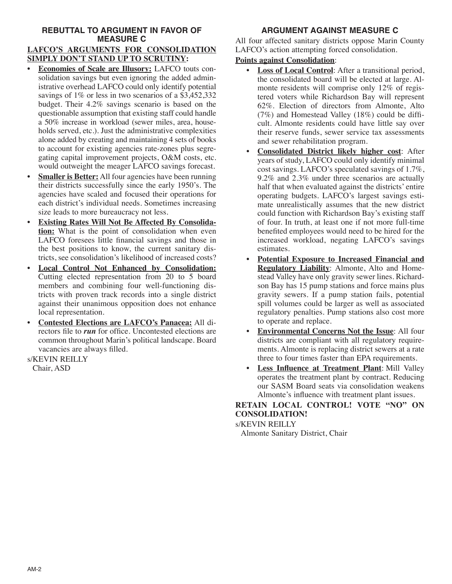# **REBUTTAL TO ARGUMENT IN FAVOR OF MEASURE C**

#### **LAFCO'S ARGUMENTS FOR CONSOLIDATION SIMPLY DON'T STAND UP TO SCRUTINY:**

- **Economies of Scale are Illusory:** LAFCO touts consolidation savings but even ignoring the added administrative overhead LAFCO could only identify potential savings of 1% or less in two scenarios of a \$3,452,332 budget. Their 4.2% savings scenario is based on the questionable assumption that existing staff could handle a 50% increase in workload (sewer miles, area, households served, etc.). Just the administrative complexities alone added by creating and maintaining 4 sets of books to account for existing agencies rate-zones plus segregating capital improvement projects, O&M costs, etc. would outweight the meager LAFCO savings forecast.
- **Smaller is Better:** All four agencies have been running their districts successfully since the early 1950's. The agencies have scaled and focused their operations for each district's individual needs. Sometimes increasing size leads to more bureaucracy not less.
- **Existing Rates Will Not Be Affected By Consolidation:** What is the point of consolidation when even LAFCO foresees little financial savings and those in the best positions to know, the current sanitary districts, see consolidation's likelihood of increased costs?
- **Local Control Not Enhanced by Consolidation:** Cutting elected representation from 20 to 5 board members and combining four well-functioning districts with proven track records into a single district against their unanimous opposition does not enhance local representation.
- **Contested Elections are LAFCO's Panacea:** All directors file to *run* for office. Uncontested elections are common throughout Marin's political landscape. Board vacancies are always filled.

s/KEVIN REILLY Chair, ASD

# **ARGUMENT AGAINST MEASURE C**

All four affected sanitary districts oppose Marin County LAFCO's action attempting forced consolidation.

## **Points against Consolidation**:

- **Loss of Local Control**: After a transitional period, the consolidated board will be elected at large. Almonte residents will comprise only 12% of registered voters while Richardson Bay will represent 62%. Election of directors from Almonte, Alto (7%) and Homestead Valley (18%) could be difficult. Almonte residents could have little say over their reserve funds, sewer service tax assessments and sewer rehabilitation program.
- **Consolidated District likely higher cost**: After years of study, LAFCO could only identify minimal cost savings. LAFCO's speculated savings of 1.7%, 9.2% and 2.3% under three scenarios are actually half that when evaluated against the districts' entire operating budgets. LAFCO's largest savings estimate unrealistically assumes that the new district could function with Richardson Bay's existing staff of four. In truth, at least one if not more full-time benefited employees would need to be hired for the increased workload, negating LAFCO's savings estimates.
- **Potential Exposure to Increased Financial and Regulatory Liability**: Almonte, Alto and Homestead Valley have only gravity sewer lines. Richardson Bay has 15 pump stations and force mains plus gravity sewers. If a pump station fails, potential spill volumes could be larger as well as associated regulatory penalties. Pump stations also cost more to operate and replace.
- **Environmental Concerns Not the Issue**: All four districts are compliant with all regulatory requirements. Almonte is replacing district sewers at a rate three to four times faster than EPA requirements.
- **Less Influence at Treatment Plant**: Mill Valley operates the treatment plant by contract. Reducing our SASM Board seats via consolidation weakens Almonte's influence with treatment plant issues.

**RETAIN LOCAL CONTROL! VOTE "NO" ON CONSOLIDATION!**

s/KEVIN REILLY

Almonte Sanitary District, Chair